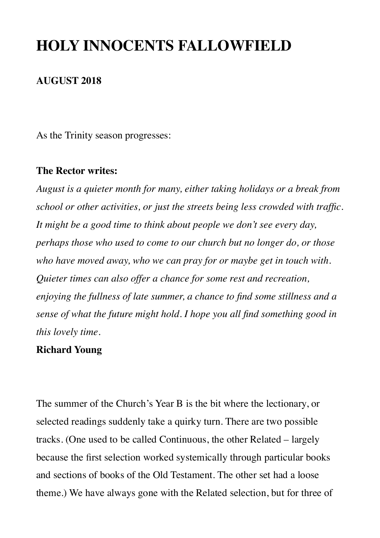# **HOLY INNOCENTS FALLOWFIELD**

#### **AUGUST 2018**

As the Trinity season progresses:

#### **The Rector writes:**

*August is a quieter month for many, either taking holidays or a break from school or other activities, or just the streets being less crowded with traffic. It might be a good time to think about people we don't see every day, perhaps those who used to come to our church but no longer do, or those who have moved away, who we can pray for or maybe get in touch with. Quieter times can also offer a chance for some rest and recreation, enjoying the fullness of late summer, a chance to find some stillness and a sense of what the future might hold. I hope you all find something good in this lovely time.*

#### **Richard Young**

The summer of the Church's Year B is the bit where the lectionary, or selected readings suddenly take a quirky turn. There are two possible tracks. (One used to be called Continuous, the other Related – largely because the first selection worked systemically through particular books and sections of books of the Old Testament. The other set had a loose theme.) We have always gone with the Related selection, but for three of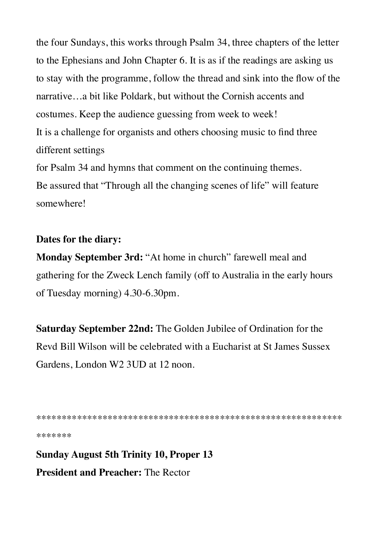the four Sundays, this works through Psalm 34, three chapters of the letter to the Ephesians and John Chapter 6. It is as if the readings are asking us to stay with the programme, follow the thread and sink into the flow of the narrative...a bit like Poldark, but without the Cornish accents and costumes. Keep the audience guessing from week to week! It is a challenge for organists and others choosing music to find three different settings for Psalm 34 and hymns that comment on the continuing themes.

Be assured that "Through all the changing scenes of life" will feature somewhere!

## Dates for the diary:

Monday September 3rd: "At home in church" farewell meal and gathering for the Zweck Lench family (off to Australia in the early hours of Tuesday morning) 4.30-6.30pm.

Saturday September 22nd: The Golden Jubilee of Ordination for the Revd Bill Wilson will be celebrated with a Eucharist at St James Sussex Gardens, London W2 3UD at 12 noon.

\*\*\*\*\*\*\*

**Sunday August 5th Trinity 10, Proper 13 President and Preacher: The Rector**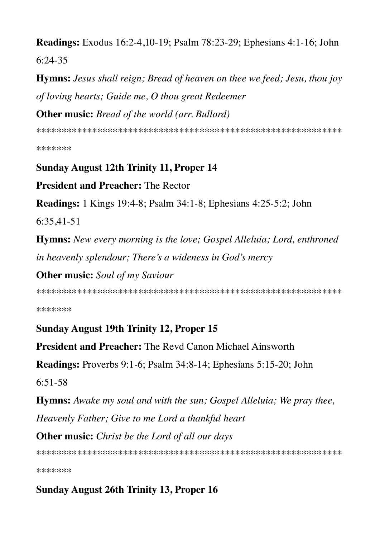**Readings:** Exodus 16:2-4,10-19; Psalm 78:23-29; Ephesians 4:1-16; John  $6:24-35$ 

**Hymns:** Jesus shall reign; Bread of heaven on thee we feed; Jesu, thou joy of loving hearts; Guide me, O thou great Redeemer **Other music:** Bread of the world (arr. Bullard)

\*\*\*\*\*\*\*

**Sunday August 12th Trinity 11, Proper 14** 

**President and Preacher: The Rector** 

**Readings:** 1 Kings 19:4-8; Psalm 34:1-8; Ephesians 4:25-5:2; John

 $6:35,41-51$ 

Hymns: New every morning is the love; Gospel Alleluia; Lord, enthroned in heavenly splendour; There's a wideness in God's mercy

**Other music:** Soul of my Saviour

\*\*\*\*\*\*\*

## **Sunday August 19th Trinity 12, Proper 15**

**President and Preacher:** The Revd Canon Michael Ainsworth

**Readings:** Proverbs 9:1-6; Psalm 34:8-14; Ephesians 5:15-20; John

 $6.51 - 58$ 

**Hymns:** Awake my soul and with the sun; Gospel Alleluia; We pray thee, Heavenly Father; Give to me Lord a thankful heart

**Other music:** Christ be the Lord of all our days

\*\*\*\*\*\*\*

## **Sunday August 26th Trinity 13, Proper 16**